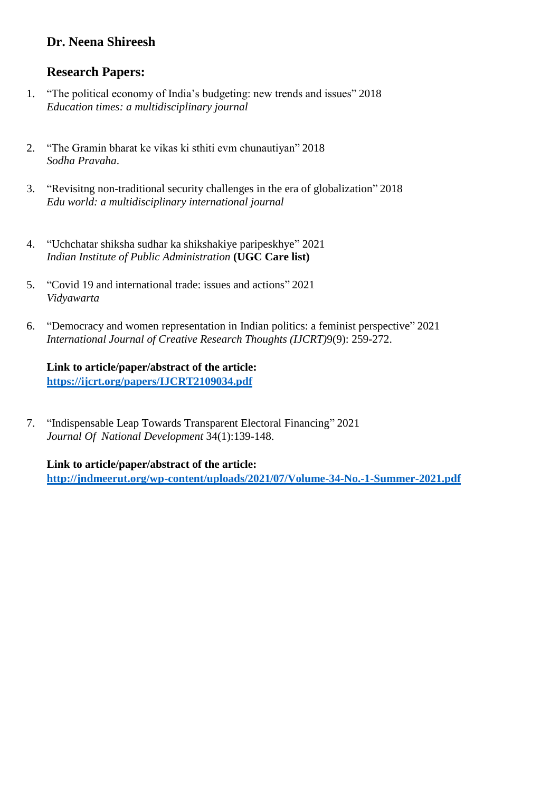## **Dr. Neena Shireesh**

## **Research Papers:**

- 1. "The political economy of India's budgeting: new trends and issues" 2018 *Education times: a multidisciplinary journal*
- 2. "The Gramin bharat ke vikas ki sthiti evm chunautiyan" 2018 *Sodha Pravaha*.
- 3. "Revisitng non-traditional security challenges in the era of globalization" 2018 *Edu world: a multidisciplinary international journal*
- 4. "Uchchatar shiksha sudhar ka shikshakiye paripeskhye" 2021 *Indian Institute of Public Administration* **(UGC Care list)**
- 5. "Covid 19 and international trade: issues and actions" 2021 *Vidyawarta*
- 6. "Democracy and women representation in Indian politics: a feminist perspective" 2021 *International Journal of Creative Research Thoughts (IJCRT)*9(9): 259-272.

**Link to article/paper/abstract of the article: <https://ijcrt.org/papers/IJCRT2109034.pdf>**

7. "Indispensable Leap Towards Transparent Electoral Financing" 2021 *Journal Of National Development* 34(1):139-148.

**Link to article/paper/abstract of the article: <http://jndmeerut.org/wp-content/uploads/2021/07/Volume-34-No.-1-Summer-2021.pdf>**